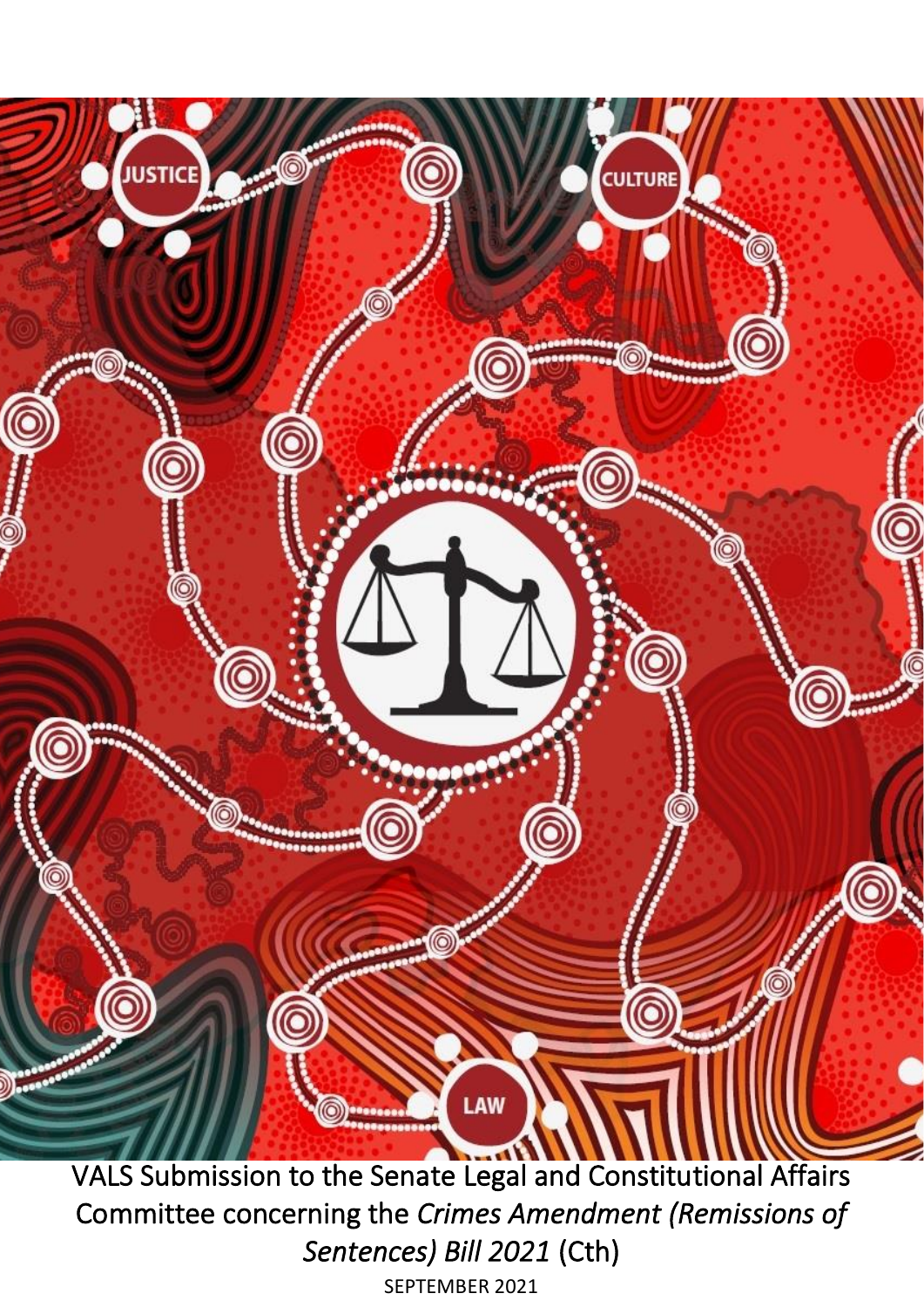

Committee concerning the *Crimes Amendment (Remissions of Sentences) Bill 2021* (Cth) SEPTEMBER 2021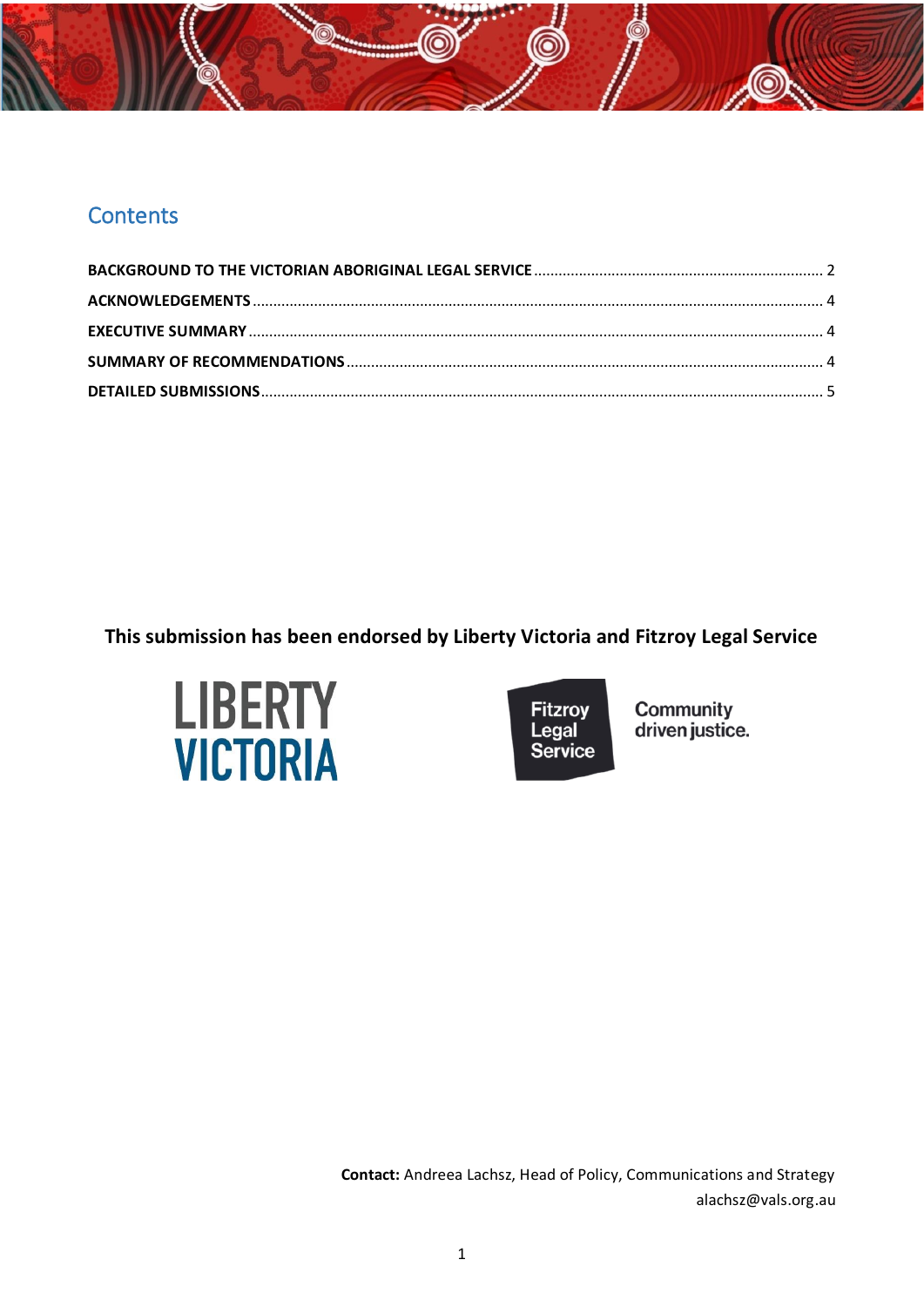# **Contents**

**This submission has been endorsed by Liberty Victoria and Fitzroy Legal Service**





Community<br>driven justice.

**Contact:** Andreea Lachsz, Head of Policy, Communications and Strategy alachsz@vals.org.au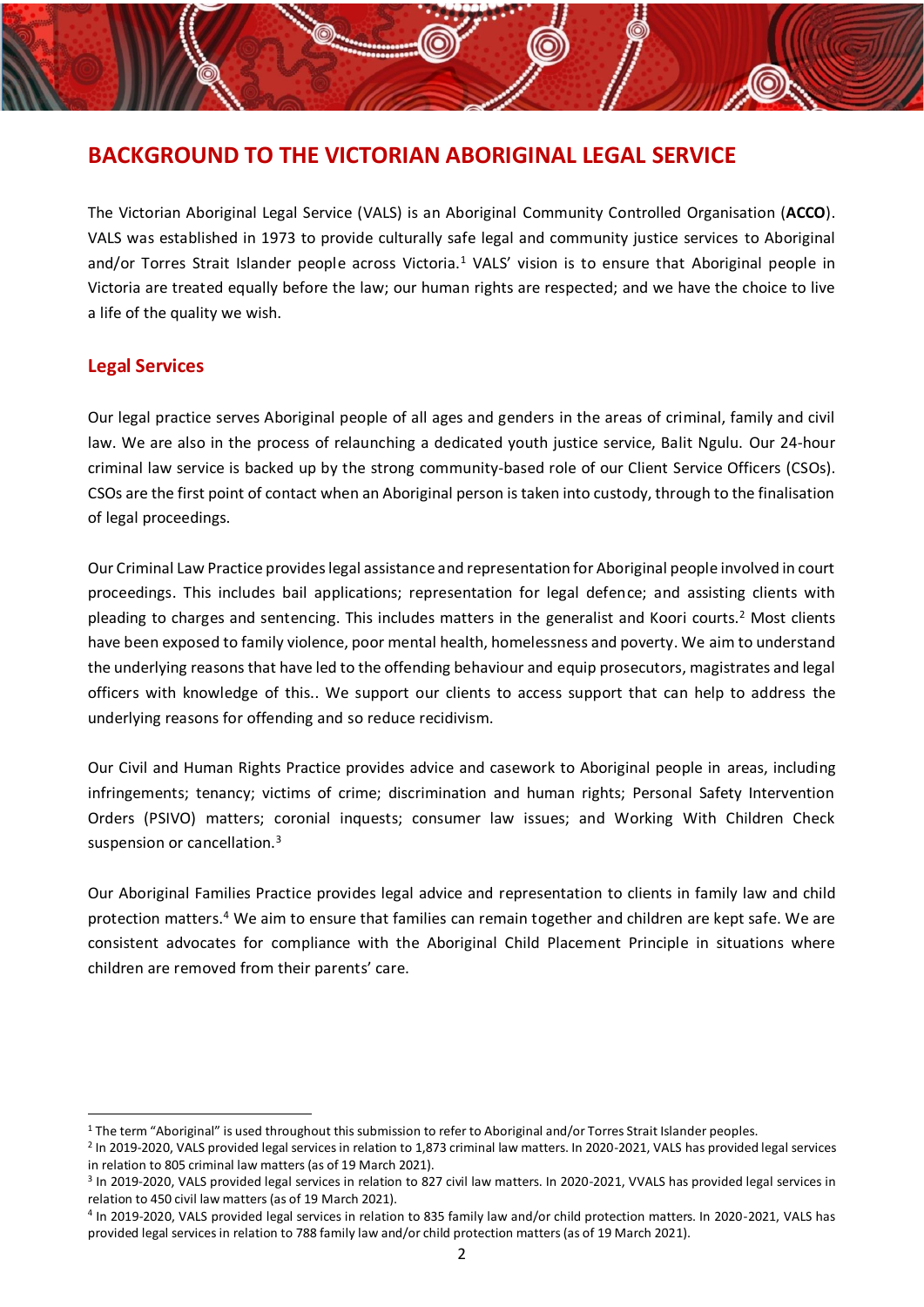# <span id="page-2-0"></span>**BACKGROUND TO THE VICTORIAN ABORIGINAL LEGAL SERVICE**

The Victorian Aboriginal Legal Service (VALS) is an Aboriginal Community Controlled Organisation (**ACCO**). VALS was established in 1973 to provide culturally safe legal and community justice services to Aboriginal and/or Torres Strait Islander people across Victoria.<sup>1</sup> VALS' vision is to ensure that Aboriginal people in Victoria are treated equally before the law; our human rights are respected; and we have the choice to live a life of the quality we wish.

## **Legal Services**

Our legal practice serves Aboriginal people of all ages and genders in the areas of criminal, family and civil law. We are also in the process of relaunching a dedicated youth justice service, Balit Ngulu. Our 24-hour criminal law service is backed up by the strong community-based role of our Client Service Officers (CSOs). CSOs are the first point of contact when an Aboriginal person is taken into custody, through to the finalisation of legal proceedings.

Our Criminal Law Practice provides legal assistance and representation for Aboriginal people involved in court proceedings. This includes bail applications; representation for legal defence; and assisting clients with pleading to charges and sentencing. This includes matters in the generalist and Koori courts. <sup>2</sup> Most clients have been exposed to family violence, poor mental health, homelessness and poverty. We aim to understand the underlying reasons that have led to the offending behaviour and equip prosecutors, magistrates and legal officers with knowledge of this.. We support our clients to access support that can help to address the underlying reasons for offending and so reduce recidivism.

Our Civil and Human Rights Practice provides advice and casework to Aboriginal people in areas, including infringements; tenancy; victims of crime; discrimination and human rights; Personal Safety Intervention Orders (PSIVO) matters; coronial inquests; consumer law issues; and Working With Children Check suspension or cancellation.<sup>3</sup>

Our Aboriginal Families Practice provides legal advice and representation to clients in family law and child protection matters.<sup>4</sup> We aim to ensure that families can remain together and children are kept safe. We are consistent advocates for compliance with the Aboriginal Child Placement Principle in situations where children are removed from their parents' care.

 $1$  The term "Aboriginal" is used throughout this submission to refer to Aboriginal and/or Torres Strait Islander peoples.

<sup>&</sup>lt;sup>2</sup> In 2019-2020, VALS provided legal services in relation to 1,873 criminal law matters. In 2020-2021, VALS has provided legal services in relation to 805 criminal law matters (as of 19 March 2021).

<sup>&</sup>lt;sup>3</sup> In 2019-2020, VALS provided legal services in relation to 827 civil law matters. In 2020-2021, VVALS has provided legal services in relation to 450 civil law matters (as of 19 March 2021).

<sup>4</sup> In 2019-2020, VALS provided legal services in relation to 835 family law and/or child protection matters. In 2020-2021, VALS has provided legal services in relation to 788 family law and/or child protection matters (as of 19 March 2021).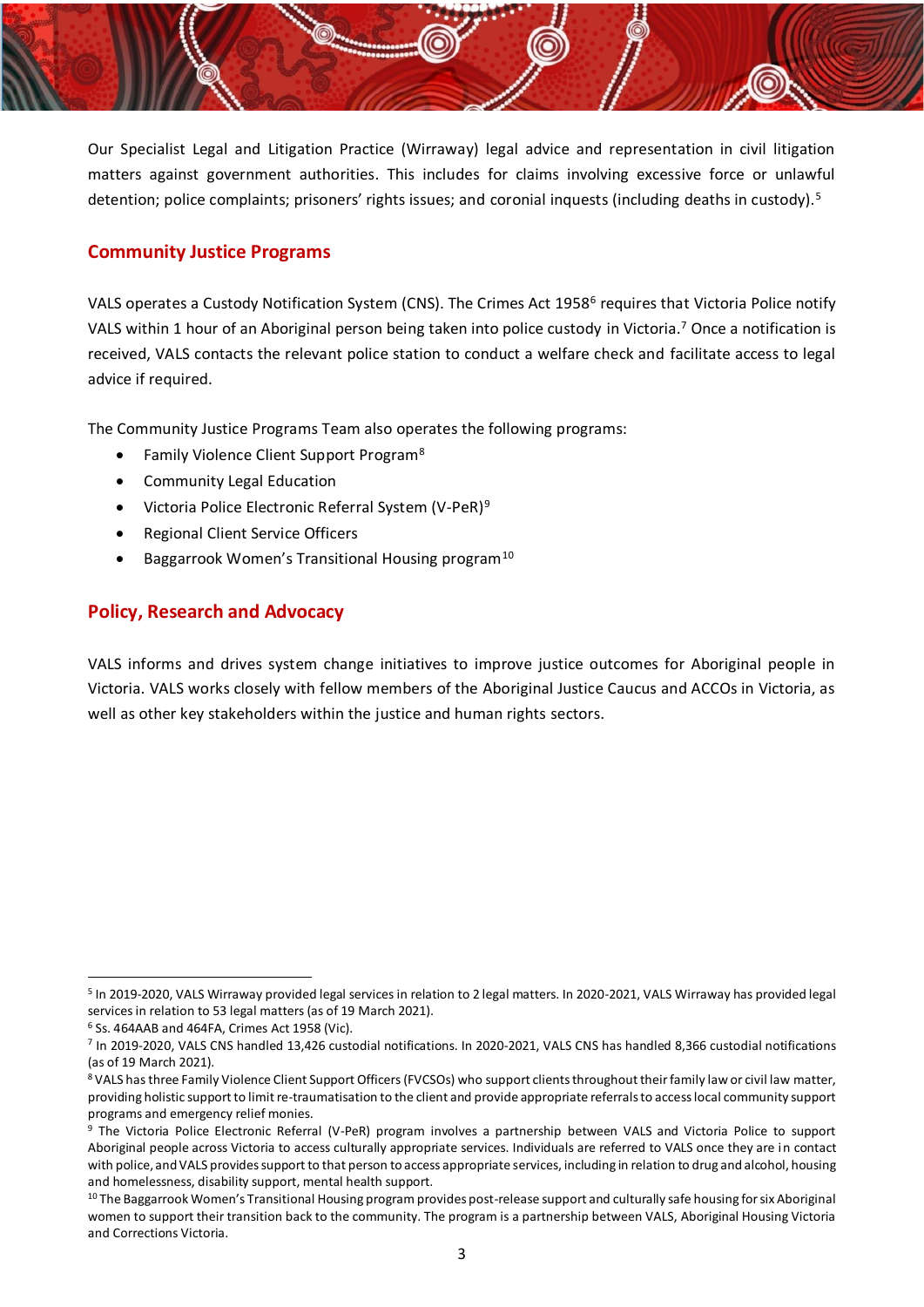Our Specialist Legal and Litigation Practice (Wirraway) legal advice and representation in civil litigation matters against government authorities. This includes for claims involving excessive force or unlawful detention; police complaints; prisoners' rights issues; and coronial inquests (including deaths in custody).<sup>5</sup>

## **Community Justice Programs**

VALS operates a Custody Notification System (CNS). The Crimes Act 1958<sup>6</sup> requires that Victoria Police notify VALS within 1 hour of an Aboriginal person being taken into police custody in Victoria.<sup>7</sup> Once a notification is received, VALS contacts the relevant police station to conduct a welfare check and facilitate access to legal advice if required.

The Community Justice Programs Team also operates the following programs:

- Family Violence Client Support Program<sup>8</sup>
- Community Legal Education
- Victoria Police Electronic Referral System (V-PeR)<sup>9</sup>
- Regional Client Service Officers
- Baggarrook Women's Transitional Housing program<sup>10</sup>

## **Policy, Research and Advocacy**

VALS informs and drives system change initiatives to improve justice outcomes for Aboriginal people in Victoria. VALS works closely with fellow members of the Aboriginal Justice Caucus and ACCOs in Victoria, as well as other key stakeholders within the justice and human rights sectors.

<sup>&</sup>lt;sup>5</sup> In 2019-2020, VALS Wirraway provided legal services in relation to 2 legal matters. In 2020-2021, VALS Wirraway has provided legal services in relation to 53 legal matters (as of 19 March 2021).

 $6$  Ss. 464AAB and 464FA, Crimes Act 1958 (Vic).

<sup>7</sup> In 2019-2020, VALS CNS handled 13,426 custodial notifications. In 2020-2021, VALS CNS has handled 8,366 custodial notifications (as of 19 March 2021).

<sup>8</sup> VALS has three Family Violence Client Support Officers (FVCSOs) who support clients throughout their family law or civil law matter, providing holistic support to limit re-traumatisation to the client and provide appropriate referrals to access local community support programs and emergency relief monies.

<sup>&</sup>lt;sup>9</sup> The Victoria Police Electronic Referral (V-PeR) program involves a partnership between VALS and Victoria Police to support Aboriginal people across Victoria to access culturally appropriate services. Individuals are referred to VALS once they are in contact with police, and VALS provides support to that person to access appropriate services, including in relation to drug and alcohol, housing and homelessness, disability support, mental health support.

 $10$  The Baggarrook Women's Transitional Housing program provides post-release support and culturally safe housing for six Aboriginal women to support their transition back to the community. The program is a partnership between VALS, Aboriginal Housing Victoria and Corrections Victoria.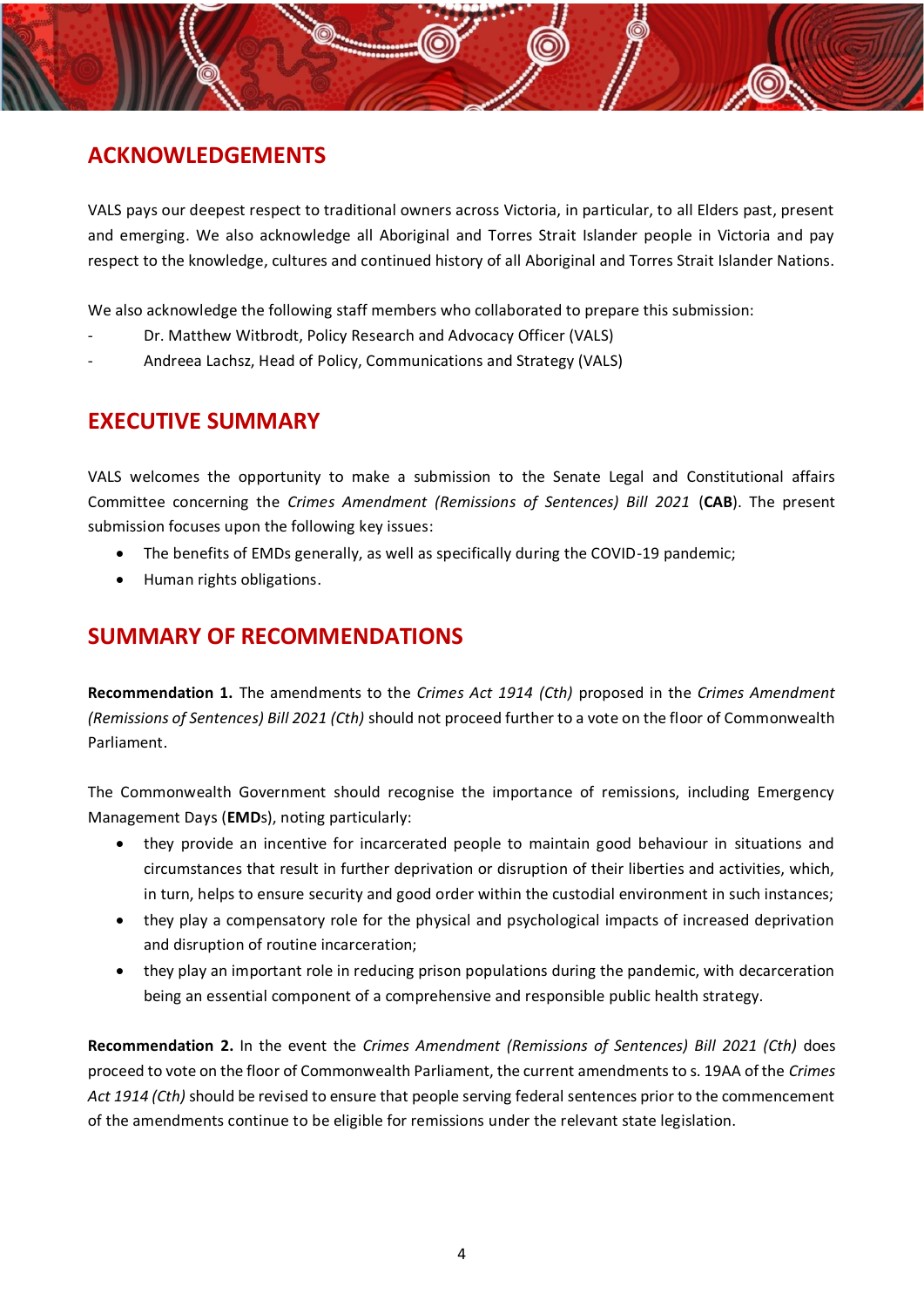# <span id="page-4-0"></span>**ACKNOWLEDGEMENTS**

VALS pays our deepest respect to traditional owners across Victoria, in particular, to all Elders past, present and emerging. We also acknowledge all Aboriginal and Torres Strait Islander people in Victoria and pay respect to the knowledge, cultures and continued history of all Aboriginal and Torres Strait Islander Nations.

We also acknowledge the following staff members who collaborated to prepare this submission:

- Dr. Matthew Witbrodt, Policy Research and Advocacy Officer (VALS)
- Andreea Lachsz, Head of Policy, Communications and Strategy (VALS)

## <span id="page-4-1"></span>**EXECUTIVE SUMMARY**

VALS welcomes the opportunity to make a submission to the Senate Legal and Constitutional affairs Committee concerning the *Crimes Amendment (Remissions of Sentences) Bill 2021* (**CAB**). The present submission focuses upon the following key issues:

- The benefits of EMDs generally, as well as specifically during the COVID-19 pandemic;
- Human rights obligations.

## <span id="page-4-2"></span>**SUMMARY OF RECOMMENDATIONS**

**Recommendation 1.** The amendments to the *Crimes Act 1914 (Cth)* proposed in the *Crimes Amendment (Remissions of Sentences) Bill 2021 (Cth)* should not proceed further to a vote on the floor of Commonwealth Parliament.

The Commonwealth Government should recognise the importance of remissions, including Emergency Management Days (**EMD**s), noting particularly:

- they provide an incentive for incarcerated people to maintain good behaviour in situations and circumstances that result in further deprivation or disruption of their liberties and activities, which, in turn, helps to ensure security and good order within the custodial environment in such instances;
- they play a compensatory role for the physical and psychological impacts of increased deprivation and disruption of routine incarceration;
- they play an important role in reducing prison populations during the pandemic, with decarceration being an essential component of a comprehensive and responsible public health strategy.

**Recommendation 2.** In the event the *Crimes Amendment (Remissions of Sentences) Bill 2021 (Cth)* does proceed to vote on the floor of Commonwealth Parliament, the current amendments to s. 19AA of the *Crimes Act 1914 (Cth)* should be revised to ensure that people serving federal sentences prior to the commencement of the amendments continue to be eligible for remissions under the relevant state legislation.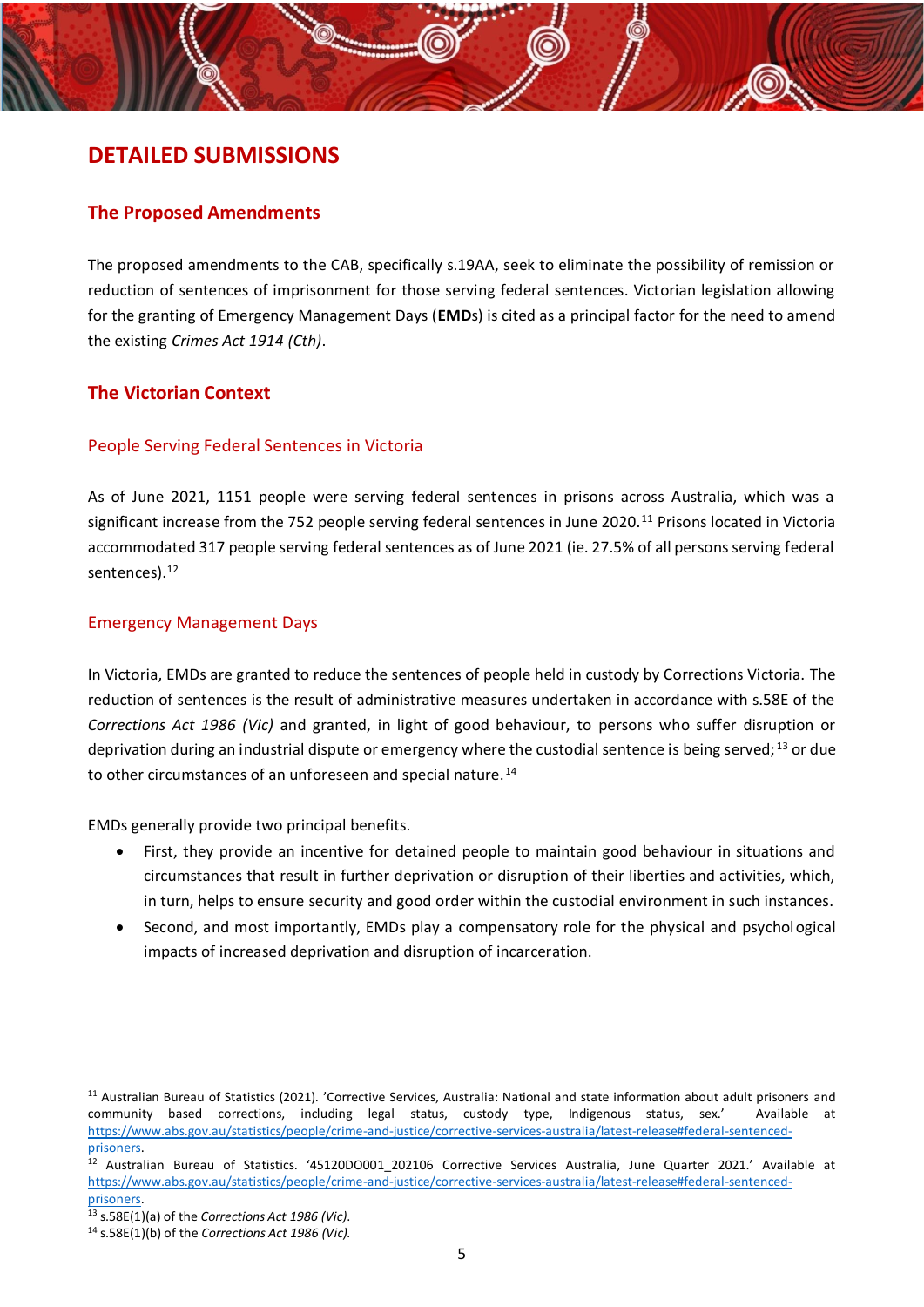## <span id="page-5-0"></span>**DETAILED SUBMISSIONS**

### **The Proposed Amendments**

The proposed amendments to the CAB, specifically s.19AA, seek to eliminate the possibility of remission or reduction of sentences of imprisonment for those serving federal sentences. Victorian legislation allowing for the granting of Emergency Management Days (**EMD**s) is cited as a principal factor for the need to amend the existing *Crimes Act 1914 (Cth)*.

## **The Victorian Context**

### People Serving Federal Sentences in Victoria

As of June 2021, 1151 people were serving federal sentences in prisons across Australia, which was a significant increase from the 752 people serving federal sentences in June 2020.<sup>11</sup> Prisons located in Victoria accommodated 317 people serving federal sentences as of June 2021 (ie. 27.5% of all persons serving federal sentences).<sup>12</sup>

#### Emergency Management Days

In Victoria, EMDs are granted to reduce the sentences of people held in custody by Corrections Victoria. The reduction of sentences is the result of administrative measures undertaken in accordance with s.58E of the *Corrections Act 1986 (Vic)* and granted, in light of good behaviour, to persons who suffer disruption or deprivation during an industrial dispute or emergency where the custodial sentence is being served;<sup>13</sup> or due to other circumstances of an unforeseen and special nature.<sup>14</sup>

EMDs generally provide two principal benefits.

- First, they provide an incentive for detained people to maintain good behaviour in situations and circumstances that result in further deprivation or disruption of their liberties and activities, which, in turn, helps to ensure security and good order within the custodial environment in such instances.
- Second, and most importantly, EMDs play a compensatory role for the physical and psychological impacts of increased deprivation and disruption of incarceration.

<sup>11</sup> Australian Bureau of Statistics (2021). 'Corrective Services, Australia: National and state information about adult prisoners and community based corrections, including legal status, custody type, Indigenous status, sex.' Available at [https://www.abs.gov.au/statistics/people/crime-and-justice/corrective-services-australia/latest-release#federal-sentenced](https://www.abs.gov.au/statistics/people/crime-and-justice/corrective-services-australia/latest-release%23federal-sentenced-prisoners)[prisoners.](https://www.abs.gov.au/statistics/people/crime-and-justice/corrective-services-australia/latest-release%23federal-sentenced-prisoners)

 $12$  Australian Bureau of Statistics. '45120DO001 202106 Corrective Services Australia, June Quarter 2021.' Available at [https://www.abs.gov.au/statistics/people/crime-and-justice/corrective-services-australia/latest-release#federal-sentenced](https://www.abs.gov.au/statistics/people/crime-and-justice/corrective-services-australia/latest-release%23federal-sentenced-prisoners)[prisoners.](https://www.abs.gov.au/statistics/people/crime-and-justice/corrective-services-australia/latest-release%23federal-sentenced-prisoners)

<sup>13</sup> s.58E(1)(a) of the *Corrections Act 1986 (Vic)*.

<sup>14</sup> s.58E(1)(b) of the *Corrections Act 1986 (Vic).*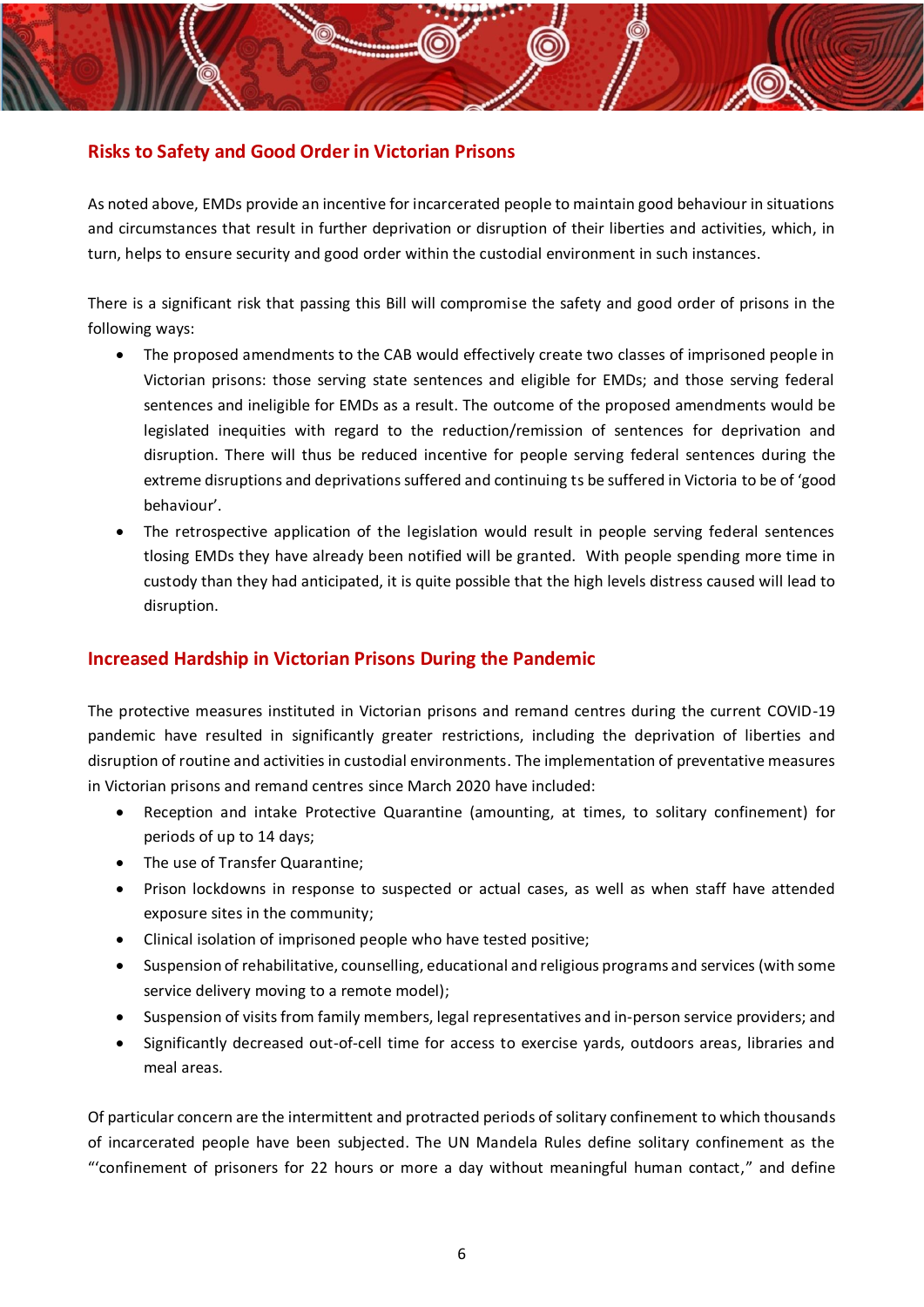## **Risks to Safety and Good Order in Victorian Prisons**

As noted above, EMDs provide an incentive for incarcerated people to maintain good behaviour in situations and circumstances that result in further deprivation or disruption of their liberties and activities, which, in turn, helps to ensure security and good order within the custodial environment in such instances.

There is a significant risk that passing this Bill will compromise the safety and good order of prisons in the following ways:

- The proposed amendments to the CAB would effectively create two classes of imprisoned people in Victorian prisons: those serving state sentences and eligible for EMDs; and those serving federal sentences and ineligible for EMDs as a result. The outcome of the proposed amendments would be legislated inequities with regard to the reduction/remission of sentences for deprivation and disruption. There will thus be reduced incentive for people serving federal sentences during the extreme disruptions and deprivations suffered and continuing ts be suffered in Victoria to be of 'good behaviour'.
- The retrospective application of the legislation would result in people serving federal sentences tlosing EMDs they have already been notified will be granted. With people spending more time in custody than they had anticipated, it is quite possible that the high levels distress caused will lead to disruption.

## **Increased Hardship in Victorian Prisons During the Pandemic**

The protective measures instituted in Victorian prisons and remand centres during the current COVID-19 pandemic have resulted in significantly greater restrictions, including the deprivation of liberties and disruption of routine and activities in custodial environments. The implementation of preventative measures in Victorian prisons and remand centres since March 2020 have included:

- Reception and intake Protective Quarantine (amounting, at times, to solitary confinement) for periods of up to 14 days;
- The use of Transfer Quarantine;
- Prison lockdowns in response to suspected or actual cases, as well as when staff have attended exposure sites in the community;
- Clinical isolation of imprisoned people who have tested positive;
- Suspension of rehabilitative, counselling, educational and religious programs and services (with some service delivery moving to a remote model);
- Suspension of visits from family members, legal representatives and in-person service providers; and
- Significantly decreased out-of-cell time for access to exercise yards, outdoors areas, libraries and meal areas.

Of particular concern are the intermittent and protracted periods of solitary confinement to which thousands of incarcerated people have been subjected. The UN Mandela Rules define solitary confinement as the "'confinement of prisoners for 22 hours or more a day without meaningful human contact," and define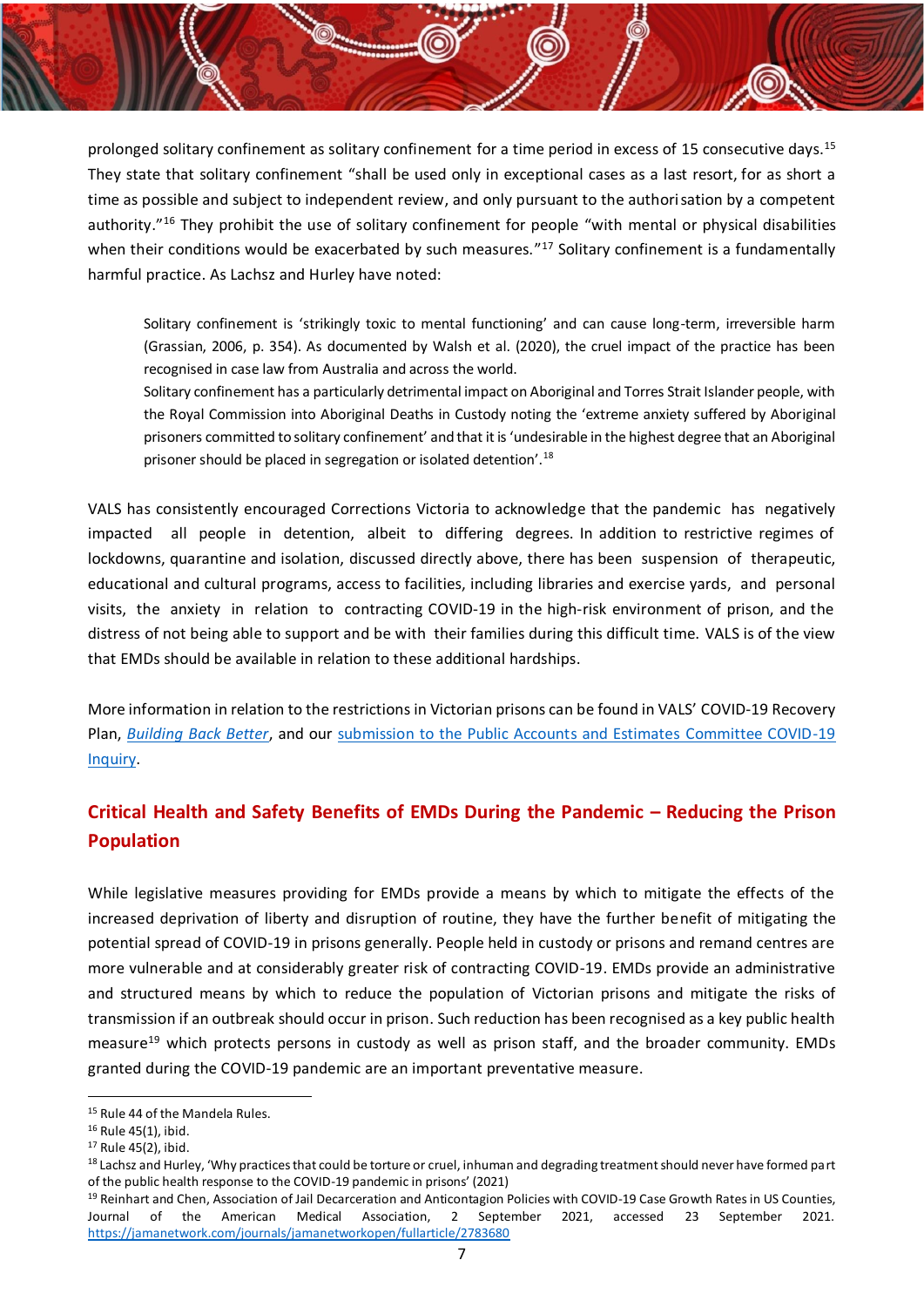prolonged solitary confinement as solitary confinement for a time period in excess of 15 consecutive days.<sup>15</sup> They state that solitary confinement "shall be used only in exceptional cases as a last resort, for as short a time as possible and subject to independent review, and only pursuant to the authorisation by a competent authority." <sup>16</sup> They prohibit the use of solitary confinement for people "with mental or physical disabilities when their conditions would be exacerbated by such measures."<sup>17</sup> Solitary confinement is a fundamentally harmful practice. As Lachsz and Hurley have noted:

Solitary confinement is 'strikingly toxic to mental functioning' and can cause long-term, irreversible harm (Grassian, 2006, p. 354). As documented by Walsh et al. (2020), the cruel impact of the practice has been recognised in case law from Australia and across the world.

Solitary confinement has a particularly detrimental impact on Aboriginal and Torres Strait Islander people, with the Royal Commission into Aboriginal Deaths in Custody noting the 'extreme anxiety suffered by Aboriginal prisoners committed to solitary confinement' and that it is 'undesirable in the highest degree that an Aboriginal prisoner should be placed in segregation or isolated detention'.<sup>18</sup>

VALS has consistently encouraged Corrections Victoria to acknowledge that the pandemic has negatively impacted all people in detention, albeit to differing degrees. In addition to restrictive regimes of lockdowns, quarantine and isolation, discussed directly above, there has been suspension of therapeutic, educational and cultural programs, access to facilities, including libraries and exercise yards, and personal visits, the anxiety in relation to contracting COVID‐19 in the high‐risk environment of prison, and the distress of not being able to support and be with their families during this difficult time. VALS is of the view that EMDs should be available in relation to these additional hardships.

More information in relation to the restrictions in Victorian prisons can be found in VALS' COVID-19 Recovery Plan, *[Building Back Better](https://www.vals.org.au/wp-content/uploads/2021/02/Building-Back-Better-Victorian-Aboriginal-Legal-Service-COVID-19-Recovery-Plan-February-2021-FOR-DISTRIBUTION.pdf)*, and our [submission to the Public Accounts and Estimates Committee COVID-19](https://www.parliament.vic.gov.au/images/stories/committees/paec/COVID-19_Inquiry/Submissions/87._Victorian_Aboriginal_Legal_Service.pdf)  [Inquiry.](https://www.parliament.vic.gov.au/images/stories/committees/paec/COVID-19_Inquiry/Submissions/87._Victorian_Aboriginal_Legal_Service.pdf)

## **Critical Health and Safety Benefits of EMDs During the Pandemic – Reducing the Prison Population**

While legislative measures providing for EMDs provide a means by which to mitigate the effects of the increased deprivation of liberty and disruption of routine, they have the further benefit of mitigating the potential spread of COVID-19 in prisons generally. People held in custody or prisons and remand centres are more vulnerable and at considerably greater risk of contracting COVID-19. EMDs provide an administrative and structured means by which to reduce the population of Victorian prisons and mitigate the risks of transmission if an outbreak should occur in prison. Such reduction has been recognised as a key public health measure<sup>19</sup> which protects persons in custody as well as prison staff, and the broader community. EMDs granted during the COVID-19 pandemic are an important preventative measure.

<sup>&</sup>lt;sup>15</sup> Rule 44 of the Mandela Rules.

<sup>16</sup> Rule 45(1), ibid.

<sup>17</sup> Rule 45(2), ibid.

<sup>&</sup>lt;sup>18</sup> Lachsz and Hurley, 'Why practices that could be torture or cruel, inhuman and degrading treatment should never have formed part of the public health response to the COVID-19 pandemic in prisons' (2021)

<sup>&</sup>lt;sup>19</sup> Reinhart and Chen, Association of Jail Decarceration and Anticontagion Policies with COVID-19 Case Growth Rates in US Counties, Journal of the American Medical Association, 2 September 2021, accessed 23 September 2021. <https://jamanetwork.com/journals/jamanetworkopen/fullarticle/2783680>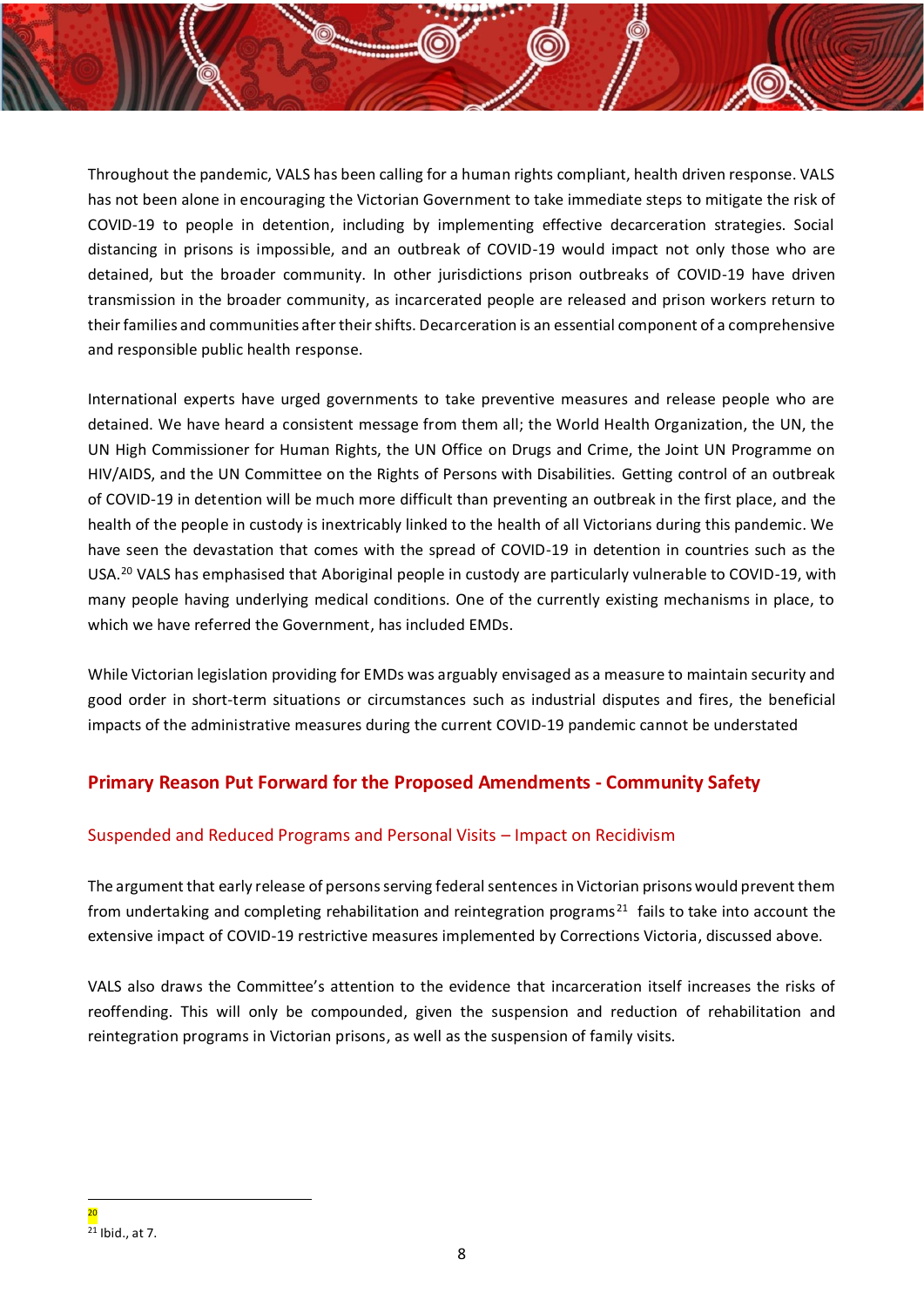Throughout the pandemic, VALS has been calling for a human rights compliant, health driven response. VALS has not been alone in encouraging the Victorian Government to take immediate steps to mitigate the risk of COVID-19 to people in detention, including by implementing effective decarceration strategies. Social distancing in prisons is impossible, and an outbreak of COVID-19 would impact not only those who are detained, but the broader community. In other jurisdictions prison outbreaks of COVID-19 have driven transmission in the broader community, as incarcerated people are released and prison workers return to their families and communities after their shifts. Decarceration is an essential component of a comprehensive and responsible public health response.

International experts have urged governments to take preventive measures and release people who are detained. We have heard a consistent message from them all; the World Health Organization, the UN, the UN High Commissioner for Human Rights, the UN Office on Drugs and Crime, the Joint UN Programme on HIV/AIDS, and the UN Committee on the Rights of Persons with Disabilities. Getting control of an outbreak of COVID-19 in detention will be much more difficult than preventing an outbreak in the first place, and the health of the people in custody is inextricably linked to the health of all Victorians during this pandemic. We have seen the devastation that comes with the spread of COVID-19 in detention in countries such as the USA.<sup>20</sup> VALS has emphasised that Aboriginal people in custody are particularly vulnerable to COVID-19, with many people having underlying medical conditions. One of the currently existing mechanisms in place, to which we have referred the Government, has included EMDs.

While Victorian legislation providing for EMDs was arguably envisaged as a measure to maintain security and good order in short-term situations or circumstances such as industrial disputes and fires, the beneficial impacts of the administrative measures during the current COVID-19 pandemic cannot be understated

## **Primary Reason Put Forward for the Proposed Amendments - Community Safety**

## Suspended and Reduced Programs and Personal Visits – Impact on Recidivism

The argument that early release of persons serving federal sentences in Victorian prisons would prevent them from undertaking and completing rehabilitation and reintegration programs<sup>21</sup> fails to take into account the extensive impact of COVID-19 restrictive measures implemented by Corrections Victoria, discussed above.

VALS also draws the Committee's attention to the evidence that incarceration itself increases the risks of reoffending. This will only be compounded, given the suspension and reduction of rehabilitation and reintegration programs in Victorian prisons, as well as the suspension of family visits.

<sup>20</sup>  $21$  Ibid., at 7.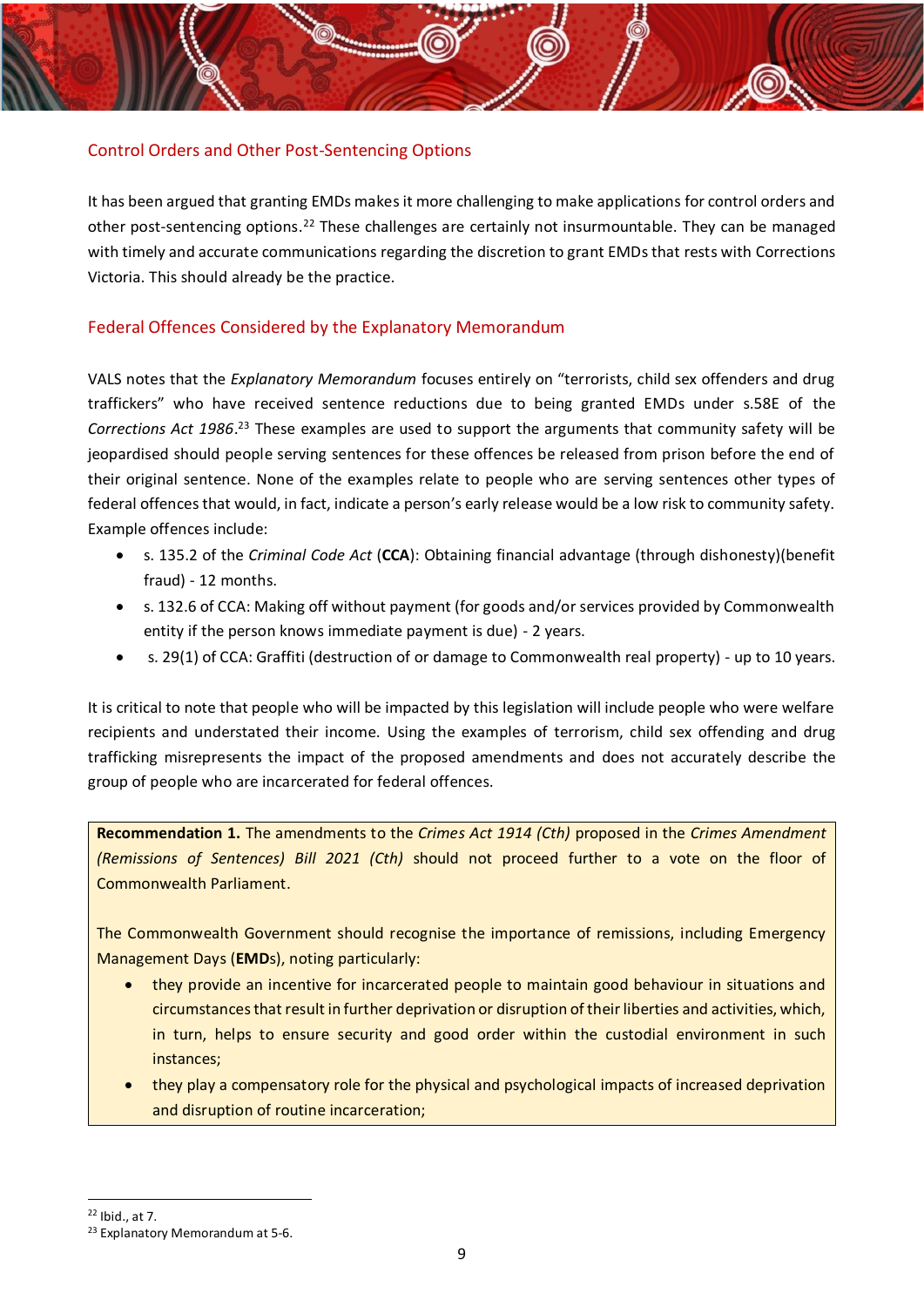## Control Orders and Other Post-Sentencing Options

It has been argued that granting EMDs makes it more challenging to make applications for control orders and other post-sentencing options.<sup>22</sup> These challenges are certainly not insurmountable. They can be managed with timely and accurate communications regarding the discretion to grant EMDs that rests with Corrections Victoria. This should already be the practice.

### Federal Offences Considered by the Explanatory Memorandum

VALS notes that the *Explanatory Memorandum* focuses entirely on "terrorists, child sex offenders and drug traffickers" who have received sentence reductions due to being granted EMDs under s.58E of the *Corrections Act 1986*. <sup>23</sup> These examples are used to support the arguments that community safety will be jeopardised should people serving sentences for these offences be released from prison before the end of their original sentence. None of the examples relate to people who are serving sentences other types of federal offences that would, in fact, indicate a person's early release would be a low risk to community safety. Example offences include:

- s. 135.2 of the *Criminal Code Act* (**CCA**): Obtaining financial advantage (through dishonesty)(benefit fraud) - 12 months.
- s. 132.6 of CCA: Making off without payment (for goods and/or services provided by Commonwealth entity if the person knows immediate payment is due) - 2 years.
- s. 29(1) of CCA: Graffiti (destruction of or damage to Commonwealth real property) up to 10 years.

It is critical to note that people who will be impacted by this legislation will include people who were welfare recipients and understated their income. Using the examples of terrorism, child sex offending and drug trafficking misrepresents the impact of the proposed amendments and does not accurately describe the group of people who are incarcerated for federal offences.

**Recommendation 1.** The amendments to the *Crimes Act 1914 (Cth)* proposed in the *Crimes Amendment (Remissions of Sentences) Bill 2021 (Cth)* should not proceed further to a vote on the floor of Commonwealth Parliament.

The Commonwealth Government should recognise the importance of remissions, including Emergency Management Days (**EMD**s), noting particularly:

- they provide an incentive for incarcerated people to maintain good behaviour in situations and circumstances that result in further deprivation or disruption of their liberties and activities, which, in turn, helps to ensure security and good order within the custodial environment in such instances;
- they play a compensatory role for the physical and psychological impacts of increased deprivation and disruption of routine incarceration;

<sup>22</sup> Ibid., at 7.

<sup>23</sup> Explanatory Memorandum at 5-6.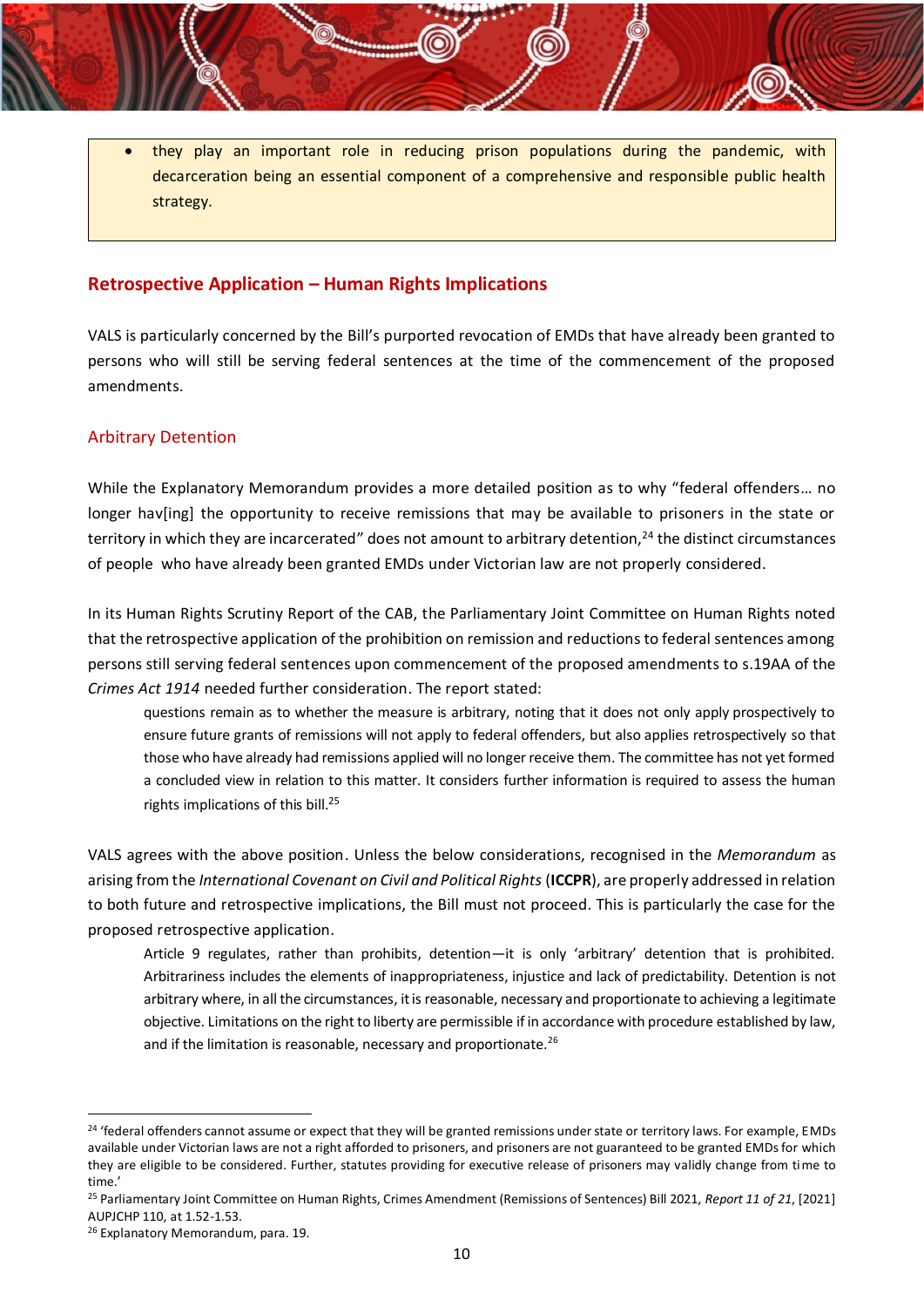they play an important role in reducing prison populations during the pandemic, with decarceration being an essential component of a comprehensive and responsible public health strategy.

### **Retrospective Application – Human Rights Implications**

VALS is particularly concerned by the Bill's purported revocation of EMDs that have already been granted to persons who will still be serving federal sentences at the time of the commencement of the proposed amendments.

#### Arbitrary Detention

While the Explanatory Memorandum provides a more detailed position as to why "federal offenders… no longer hav[ing] the opportunity to receive remissions that may be available to prisoners in the state or territory in which they are incarcerated" does not amount to arbitrary detention,<sup>24</sup> the distinct circumstances of people who have already been granted EMDs under Victorian law are not properly considered.

In its Human Rights Scrutiny Report of the CAB, the Parliamentary Joint Committee on Human Rights noted that the retrospective application of the prohibition on remission and reductions to federal sentences among persons still serving federal sentences upon commencement of the proposed amendments to s.19AA of the *Crimes Act 1914* needed further consideration. The report stated:

questions remain as to whether the measure is arbitrary, noting that it does not only apply prospectively to ensure future grants of remissions will not apply to federal offenders, but also applies retrospectively so that those who have already had remissions applied will no longer receive them. The committee has not yet formed a concluded view in relation to this matter. It considers further information is required to assess the human rights implications of this bill.<sup>25</sup>

VALS agrees with the above position. Unless the below considerations, recognised in the *Memorandum* as arising from the *International Covenant on Civil and Political Rights* (**ICCPR**), are properly addressed in relation to both future and retrospective implications, the Bill must not proceed. This is particularly the case for the proposed retrospective application.

Article 9 regulates, rather than prohibits, detention—it is only 'arbitrary' detention that is prohibited. Arbitrariness includes the elements of inappropriateness, injustice and lack of predictability. Detention is not arbitrary where, in all the circumstances, it is reasonable, necessary and proportionate to achieving a legitimate objective. Limitations on the right to liberty are permissible if in accordance with procedure established by law, and if the limitation is reasonable, necessary and proportionate.<sup>26</sup>

<sup>&</sup>lt;sup>24</sup> 'federal offenders cannot assume or expect that they will be granted remissions under state or territory laws. For example, EMDs available under Victorian laws are not a right afforded to prisoners, and prisoners are not guaranteed to be granted EMDs for which they are eligible to be considered. Further, statutes providing for executive release of prisoners may validly change from time to time.'

<sup>25</sup> Parliamentary Joint Committee on Human Rights, Crimes Amendment (Remissions of Sentences) Bill 2021, *Report 11 of 21*, [2021] AUPJCHP 110, at 1.52-1.53.

<sup>&</sup>lt;sup>26</sup> Explanatory Memorandum, para. 19.